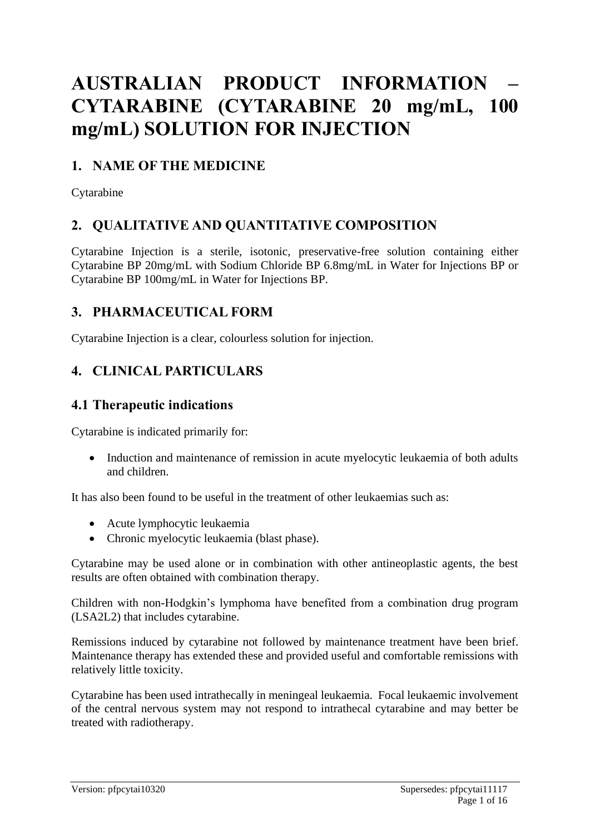# **AUSTRALIAN PRODUCT INFORMATION – CYTARABINE (CYTARABINE 20 mg/mL, 100 mg/mL) SOLUTION FOR INJECTION**

# **1. NAME OF THE MEDICINE**

Cytarabine

# **2. QUALITATIVE AND QUANTITATIVE COMPOSITION**

Cytarabine Injection is a sterile, isotonic, preservative-free solution containing either Cytarabine BP 20mg/mL with Sodium Chloride BP 6.8mg/mL in Water for Injections BP or Cytarabine BP 100mg/mL in Water for Injections BP.

# **3. PHARMACEUTICAL FORM**

Cytarabine Injection is a clear, colourless solution for injection.

# **4. CLINICAL PARTICULARS**

### **4.1 Therapeutic indications**

Cytarabine is indicated primarily for:

• Induction and maintenance of remission in acute myelocytic leukaemia of both adults and children.

It has also been found to be useful in the treatment of other leukaemias such as:

- Acute lymphocytic leukaemia
- Chronic myelocytic leukaemia (blast phase).

Cytarabine may be used alone or in combination with other antineoplastic agents, the best results are often obtained with combination therapy.

Children with non-Hodgkin's lymphoma have benefited from a combination drug program (LSA2L2) that includes cytarabine.

Remissions induced by cytarabine not followed by maintenance treatment have been brief. Maintenance therapy has extended these and provided useful and comfortable remissions with relatively little toxicity.

Cytarabine has been used intrathecally in meningeal leukaemia. Focal leukaemic involvement of the central nervous system may not respond to intrathecal cytarabine and may better be treated with radiotherapy.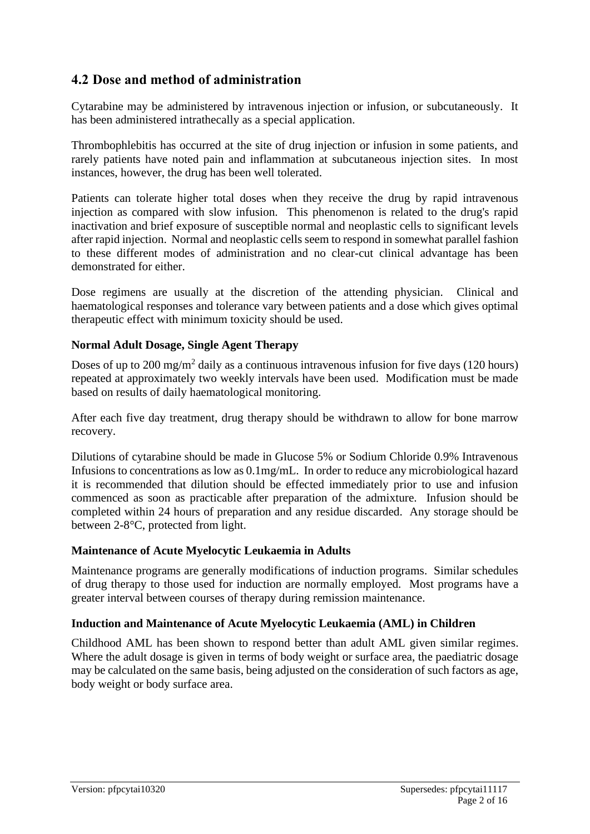# **4.2 Dose and method of administration**

Cytarabine may be administered by intravenous injection or infusion, or subcutaneously. It has been administered intrathecally as a special application.

Thrombophlebitis has occurred at the site of drug injection or infusion in some patients, and rarely patients have noted pain and inflammation at subcutaneous injection sites. In most instances, however, the drug has been well tolerated.

Patients can tolerate higher total doses when they receive the drug by rapid intravenous injection as compared with slow infusion. This phenomenon is related to the drug's rapid inactivation and brief exposure of susceptible normal and neoplastic cells to significant levels after rapid injection. Normal and neoplastic cells seem to respond in somewhat parallel fashion to these different modes of administration and no clear-cut clinical advantage has been demonstrated for either.

Dose regimens are usually at the discretion of the attending physician. Clinical and haematological responses and tolerance vary between patients and a dose which gives optimal therapeutic effect with minimum toxicity should be used.

#### **Normal Adult Dosage, Single Agent Therapy**

Doses of up to 200 mg/m<sup>2</sup> daily as a continuous intravenous infusion for five days (120 hours) repeated at approximately two weekly intervals have been used. Modification must be made based on results of daily haematological monitoring.

After each five day treatment, drug therapy should be withdrawn to allow for bone marrow recovery.

Dilutions of cytarabine should be made in Glucose 5% or Sodium Chloride 0.9% Intravenous Infusions to concentrations as low as 0.1mg/mL. In order to reduce any microbiological hazard it is recommended that dilution should be effected immediately prior to use and infusion commenced as soon as practicable after preparation of the admixture. Infusion should be completed within 24 hours of preparation and any residue discarded. Any storage should be between 2-8°C, protected from light.

#### **Maintenance of Acute Myelocytic Leukaemia in Adults**

Maintenance programs are generally modifications of induction programs. Similar schedules of drug therapy to those used for induction are normally employed. Most programs have a greater interval between courses of therapy during remission maintenance.

#### **Induction and Maintenance of Acute Myelocytic Leukaemia (AML) in Children**

Childhood AML has been shown to respond better than adult AML given similar regimes. Where the adult dosage is given in terms of body weight or surface area, the paediatric dosage may be calculated on the same basis, being adjusted on the consideration of such factors as age, body weight or body surface area.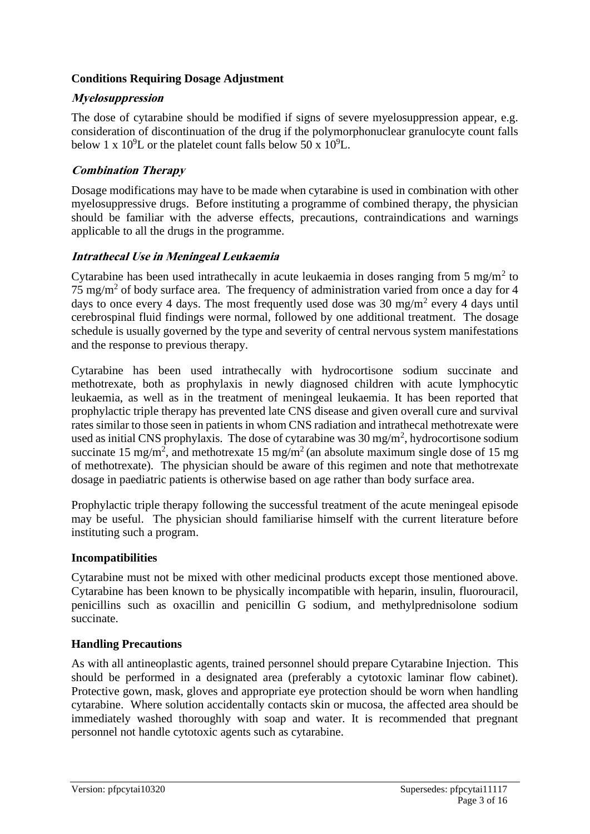#### **Conditions Requiring Dosage Adjustment**

### **Myelosuppression**

The dose of cytarabine should be modified if signs of severe myelosuppression appear, e.g. consideration of discontinuation of the drug if the polymorphonuclear granulocyte count falls below 1 x  $10^9$ L or the platelet count falls below 50 x  $10^9$ L.

### **Combination Therapy**

Dosage modifications may have to be made when cytarabine is used in combination with other myelosuppressive drugs. Before instituting a programme of combined therapy, the physician should be familiar with the adverse effects, precautions, contraindications and warnings applicable to all the drugs in the programme.

### **Intrathecal Use in Meningeal Leukaemia**

Cytarabine has been used intrathecally in acute leukaemia in doses ranging from  $5 \text{ mg/m}^2$  to 75 mg/m<sup>2</sup> of body surface area. The frequency of administration varied from once a day for 4 days to once every 4 days. The most frequently used dose was  $30 \text{ mg/m}^2$  every 4 days until cerebrospinal fluid findings were normal, followed by one additional treatment. The dosage schedule is usually governed by the type and severity of central nervous system manifestations and the response to previous therapy.

Cytarabine has been used intrathecally with hydrocortisone sodium succinate and methotrexate, both as prophylaxis in newly diagnosed children with acute lymphocytic leukaemia, as well as in the treatment of meningeal leukaemia. It has been reported that prophylactic triple therapy has prevented late CNS disease and given overall cure and survival rates similar to those seen in patients in whom CNS radiation and intrathecal methotrexate were used as initial CNS prophylaxis. The dose of cytarabine was  $30 \text{ mg/m}^2$ , hydrocortisone sodium succinate 15 mg/m<sup>2</sup>, and methotrexate 15 mg/m<sup>2</sup> (an absolute maximum single dose of 15 mg of methotrexate). The physician should be aware of this regimen and note that methotrexate dosage in paediatric patients is otherwise based on age rather than body surface area.

Prophylactic triple therapy following the successful treatment of the acute meningeal episode may be useful. The physician should familiarise himself with the current literature before instituting such a program.

#### **Incompatibilities**

Cytarabine must not be mixed with other medicinal products except those mentioned above. Cytarabine has been known to be physically incompatible with heparin, insulin, fluorouracil, penicillins such as oxacillin and penicillin G sodium, and methylprednisolone sodium succinate.

#### **Handling Precautions**

As with all antineoplastic agents, trained personnel should prepare Cytarabine Injection. This should be performed in a designated area (preferably a cytotoxic laminar flow cabinet). Protective gown, mask, gloves and appropriate eye protection should be worn when handling cytarabine. Where solution accidentally contacts skin or mucosa, the affected area should be immediately washed thoroughly with soap and water. It is recommended that pregnant personnel not handle cytotoxic agents such as cytarabine.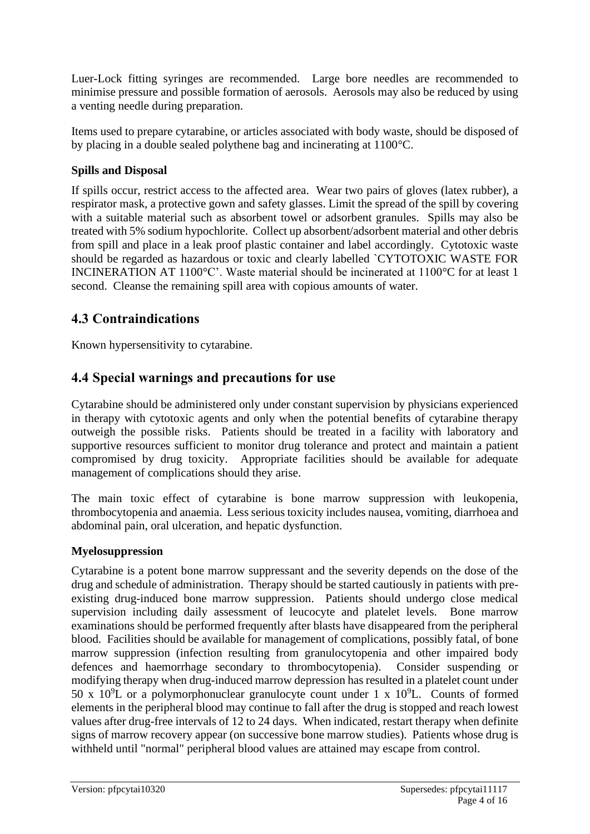Luer-Lock fitting syringes are recommended. Large bore needles are recommended to minimise pressure and possible formation of aerosols. Aerosols may also be reduced by using a venting needle during preparation.

Items used to prepare cytarabine, or articles associated with body waste, should be disposed of by placing in a double sealed polythene bag and incinerating at 1100°C.

### **Spills and Disposal**

If spills occur, restrict access to the affected area. Wear two pairs of gloves (latex rubber), a respirator mask, a protective gown and safety glasses. Limit the spread of the spill by covering with a suitable material such as absorbent towel or adsorbent granules. Spills may also be treated with 5% sodium hypochlorite. Collect up absorbent/adsorbent material and other debris from spill and place in a leak proof plastic container and label accordingly. Cytotoxic waste should be regarded as hazardous or toxic and clearly labelled `CYTOTOXIC WASTE FOR INCINERATION AT 1100°C'. Waste material should be incinerated at 1100°C for at least 1 second. Cleanse the remaining spill area with copious amounts of water.

# **4.3 Contraindications**

Known hypersensitivity to cytarabine.

### **4.4 Special warnings and precautions for use**

Cytarabine should be administered only under constant supervision by physicians experienced in therapy with cytotoxic agents and only when the potential benefits of cytarabine therapy outweigh the possible risks. Patients should be treated in a facility with laboratory and supportive resources sufficient to monitor drug tolerance and protect and maintain a patient compromised by drug toxicity. Appropriate facilities should be available for adequate management of complications should they arise.

The main toxic effect of cytarabine is bone marrow suppression with leukopenia, thrombocytopenia and anaemia. Less serious toxicity includes nausea, vomiting, diarrhoea and abdominal pain, oral ulceration, and hepatic dysfunction.

#### **Myelosuppression**

Cytarabine is a potent bone marrow suppressant and the severity depends on the dose of the drug and schedule of administration. Therapy should be started cautiously in patients with preexisting drug-induced bone marrow suppression. Patients should undergo close medical supervision including daily assessment of leucocyte and platelet levels. Bone marrow examinations should be performed frequently after blasts have disappeared from the peripheral blood. Facilities should be available for management of complications, possibly fatal, of bone marrow suppression (infection resulting from granulocytopenia and other impaired body defences and haemorrhage secondary to thrombocytopenia). Consider suspending or modifying therapy when drug-induced marrow depression has resulted in a platelet count under 50 x  $10^9$ L or a polymorphonuclear granulocyte count under 1 x  $10^9$ L. Counts of formed elements in the peripheral blood may continue to fall after the drug is stopped and reach lowest values after drug-free intervals of 12 to 24 days. When indicated, restart therapy when definite signs of marrow recovery appear (on successive bone marrow studies). Patients whose drug is withheld until "normal" peripheral blood values are attained may escape from control.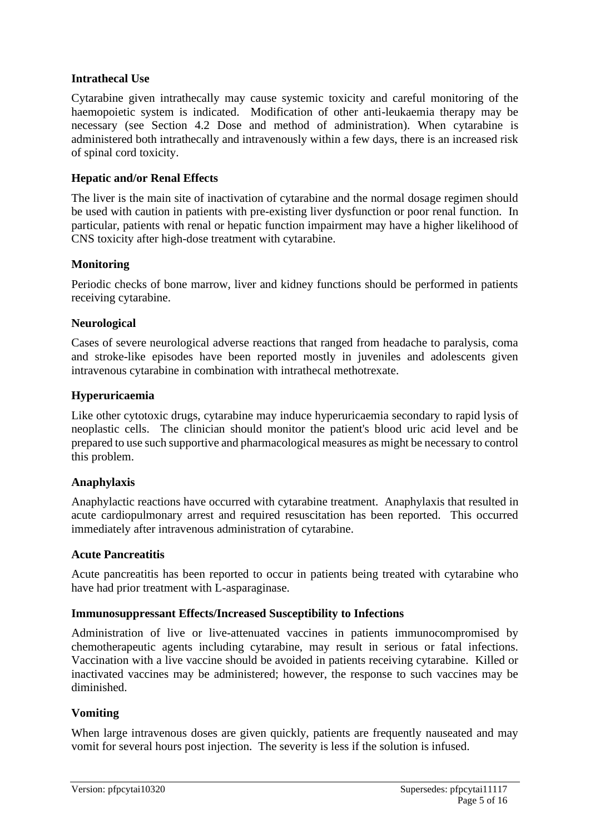#### **Intrathecal Use**

Cytarabine given intrathecally may cause systemic toxicity and careful monitoring of the haemopoietic system is indicated. Modification of other anti-leukaemia therapy may be necessary (see Section 4.2 Dose and method of administration). When cytarabine is administered both intrathecally and intravenously within a few days, there is an increased risk of spinal cord toxicity.

#### **Hepatic and/or Renal Effects**

The liver is the main site of inactivation of cytarabine and the normal dosage regimen should be used with caution in patients with pre-existing liver dysfunction or poor renal function. In particular, patients with renal or hepatic function impairment may have a higher likelihood of CNS toxicity after high-dose treatment with cytarabine.

#### **Monitoring**

Periodic checks of bone marrow, liver and kidney functions should be performed in patients receiving cytarabine.

#### **Neurological**

Cases of severe neurological adverse reactions that ranged from headache to paralysis, coma and stroke-like episodes have been reported mostly in juveniles and adolescents given intravenous cytarabine in combination with intrathecal methotrexate.

#### **Hyperuricaemia**

Like other cytotoxic drugs, cytarabine may induce hyperuricaemia secondary to rapid lysis of neoplastic cells. The clinician should monitor the patient's blood uric acid level and be prepared to use such supportive and pharmacological measures as might be necessary to control this problem.

#### **Anaphylaxis**

Anaphylactic reactions have occurred with cytarabine treatment. Anaphylaxis that resulted in acute cardiopulmonary arrest and required resuscitation has been reported. This occurred immediately after intravenous administration of cytarabine.

#### **Acute Pancreatitis**

Acute pancreatitis has been reported to occur in patients being treated with cytarabine who have had prior treatment with L-asparaginase.

#### **Immunosuppressant Effects/Increased Susceptibility to Infections**

Administration of live or live-attenuated vaccines in patients immunocompromised by chemotherapeutic agents including cytarabine, may result in serious or fatal infections. Vaccination with a live vaccine should be avoided in patients receiving cytarabine. Killed or inactivated vaccines may be administered; however, the response to such vaccines may be diminished.

#### **Vomiting**

When large intravenous doses are given quickly, patients are frequently nauseated and may vomit for several hours post injection. The severity is less if the solution is infused.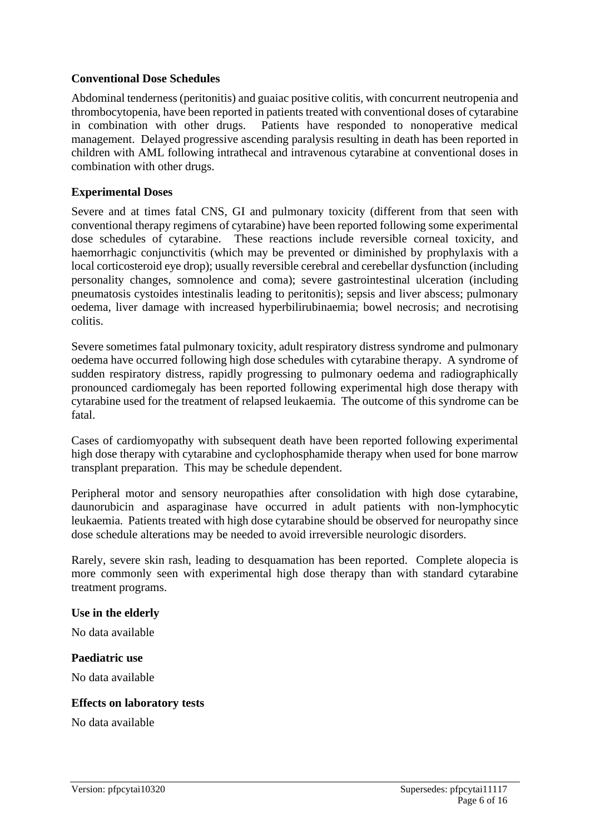#### **Conventional Dose Schedules**

Abdominal tenderness (peritonitis) and guaiac positive colitis, with concurrent neutropenia and thrombocytopenia, have been reported in patients treated with conventional doses of cytarabine in combination with other drugs. Patients have responded to nonoperative medical management. Delayed progressive ascending paralysis resulting in death has been reported in children with AML following intrathecal and intravenous cytarabine at conventional doses in combination with other drugs.

#### **Experimental Doses**

Severe and at times fatal CNS, GI and pulmonary toxicity (different from that seen with conventional therapy regimens of cytarabine) have been reported following some experimental dose schedules of cytarabine. These reactions include reversible corneal toxicity, and haemorrhagic conjunctivitis (which may be prevented or diminished by prophylaxis with a local corticosteroid eye drop); usually reversible cerebral and cerebellar dysfunction (including personality changes, somnolence and coma); severe gastrointestinal ulceration (including pneumatosis cystoides intestinalis leading to peritonitis); sepsis and liver abscess; pulmonary oedema, liver damage with increased hyperbilirubinaemia; bowel necrosis; and necrotising colitis.

Severe sometimes fatal pulmonary toxicity, adult respiratory distress syndrome and pulmonary oedema have occurred following high dose schedules with cytarabine therapy. A syndrome of sudden respiratory distress, rapidly progressing to pulmonary oedema and radiographically pronounced cardiomegaly has been reported following experimental high dose therapy with cytarabine used for the treatment of relapsed leukaemia. The outcome of this syndrome can be fatal.

Cases of cardiomyopathy with subsequent death have been reported following experimental high dose therapy with cytarabine and cyclophosphamide therapy when used for bone marrow transplant preparation. This may be schedule dependent.

Peripheral motor and sensory neuropathies after consolidation with high dose cytarabine, daunorubicin and asparaginase have occurred in adult patients with non-lymphocytic leukaemia. Patients treated with high dose cytarabine should be observed for neuropathy since dose schedule alterations may be needed to avoid irreversible neurologic disorders.

Rarely, severe skin rash, leading to desquamation has been reported. Complete alopecia is more commonly seen with experimental high dose therapy than with standard cytarabine treatment programs.

#### **Use in the elderly**

No data available

#### **Paediatric use**

No data available

#### **Effects on laboratory tests**

No data available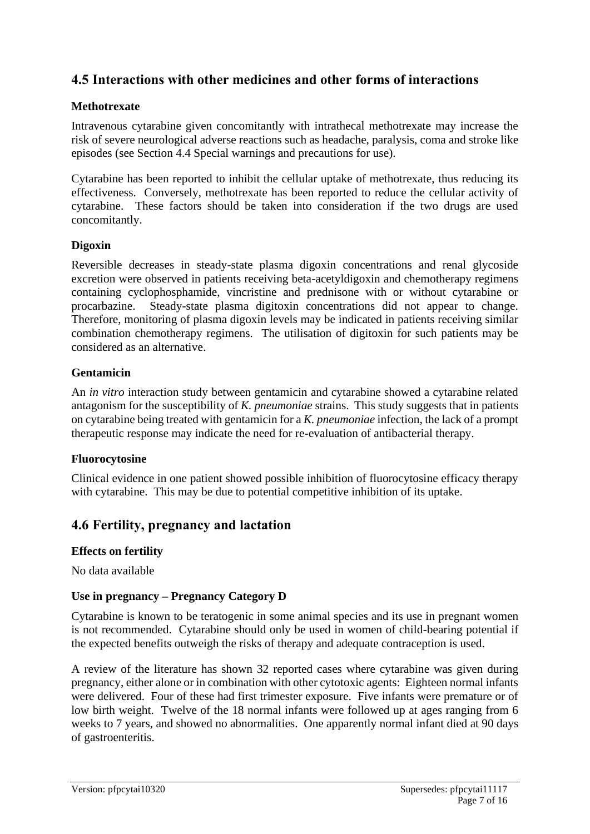# **4.5 Interactions with other medicines and other forms of interactions**

#### **Methotrexate**

Intravenous cytarabine given concomitantly with intrathecal methotrexate may increase the risk of severe neurological adverse reactions such as headache, paralysis, coma and stroke like episodes (see Section 4.4 Special warnings and precautions for use).

Cytarabine has been reported to inhibit the cellular uptake of methotrexate, thus reducing its effectiveness. Conversely, methotrexate has been reported to reduce the cellular activity of cytarabine. These factors should be taken into consideration if the two drugs are used concomitantly.

#### **Digoxin**

Reversible decreases in steady-state plasma digoxin concentrations and renal glycoside excretion were observed in patients receiving beta-acetyldigoxin and chemotherapy regimens containing cyclophosphamide, vincristine and prednisone with or without cytarabine or procarbazine. Steady-state plasma digitoxin concentrations did not appear to change. Therefore, monitoring of plasma digoxin levels may be indicated in patients receiving similar combination chemotherapy regimens. The utilisation of digitoxin for such patients may be considered as an alternative.

#### **Gentamicin**

An *in vitro* interaction study between gentamicin and cytarabine showed a cytarabine related antagonism for the susceptibility of *K. pneumoniae* strains. This study suggests that in patients on cytarabine being treated with gentamicin for a *K. pneumoniae* infection, the lack of a prompt therapeutic response may indicate the need for re-evaluation of antibacterial therapy.

#### **Fluorocytosine**

Clinical evidence in one patient showed possible inhibition of fluorocytosine efficacy therapy with cytarabine. This may be due to potential competitive inhibition of its uptake.

### **4.6 Fertility, pregnancy and lactation**

#### **Effects on fertility**

No data available

#### **Use in pregnancy – Pregnancy Category D**

Cytarabine is known to be teratogenic in some animal species and its use in pregnant women is not recommended. Cytarabine should only be used in women of child-bearing potential if the expected benefits outweigh the risks of therapy and adequate contraception is used.

A review of the literature has shown 32 reported cases where cytarabine was given during pregnancy, either alone or in combination with other cytotoxic agents: Eighteen normal infants were delivered. Four of these had first trimester exposure. Five infants were premature or of low birth weight. Twelve of the 18 normal infants were followed up at ages ranging from 6 weeks to 7 years, and showed no abnormalities. One apparently normal infant died at 90 days of gastroenteritis.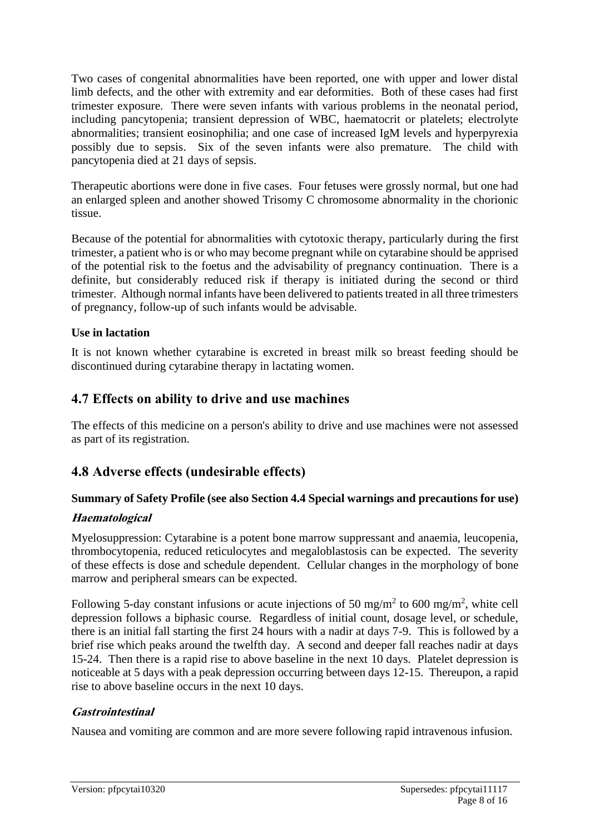Two cases of congenital abnormalities have been reported, one with upper and lower distal limb defects, and the other with extremity and ear deformities. Both of these cases had first trimester exposure. There were seven infants with various problems in the neonatal period, including pancytopenia; transient depression of WBC, haematocrit or platelets; electrolyte abnormalities; transient eosinophilia; and one case of increased IgM levels and hyperpyrexia possibly due to sepsis. Six of the seven infants were also premature. The child with pancytopenia died at 21 days of sepsis.

Therapeutic abortions were done in five cases. Four fetuses were grossly normal, but one had an enlarged spleen and another showed Trisomy C chromosome abnormality in the chorionic tissue.

Because of the potential for abnormalities with cytotoxic therapy, particularly during the first trimester, a patient who is or who may become pregnant while on cytarabine should be apprised of the potential risk to the foetus and the advisability of pregnancy continuation. There is a definite, but considerably reduced risk if therapy is initiated during the second or third trimester. Although normal infants have been delivered to patients treated in all three trimesters of pregnancy, follow-up of such infants would be advisable.

#### **Use in lactation**

It is not known whether cytarabine is excreted in breast milk so breast feeding should be discontinued during cytarabine therapy in lactating women.

### **4.7 Effects on ability to drive and use machines**

The effects of this medicine on a person's ability to drive and use machines were not assessed as part of its registration.

### **4.8 Adverse effects (undesirable effects)**

#### **Summary of Safety Profile (see also Section 4.4 Special warnings and precautions for use)**

#### **Haematological**

Myelosuppression: Cytarabine is a potent bone marrow suppressant and anaemia, leucopenia, thrombocytopenia, reduced reticulocytes and megaloblastosis can be expected. The severity of these effects is dose and schedule dependent. Cellular changes in the morphology of bone marrow and peripheral smears can be expected.

Following 5-day constant infusions or acute injections of 50 mg/m<sup>2</sup> to 600 mg/m<sup>2</sup>, white cell depression follows a biphasic course. Regardless of initial count, dosage level, or schedule, there is an initial fall starting the first 24 hours with a nadir at days 7-9. This is followed by a brief rise which peaks around the twelfth day. A second and deeper fall reaches nadir at days 15-24. Then there is a rapid rise to above baseline in the next 10 days. Platelet depression is noticeable at 5 days with a peak depression occurring between days 12-15. Thereupon, a rapid rise to above baseline occurs in the next 10 days.

#### **Gastrointestinal**

Nausea and vomiting are common and are more severe following rapid intravenous infusion.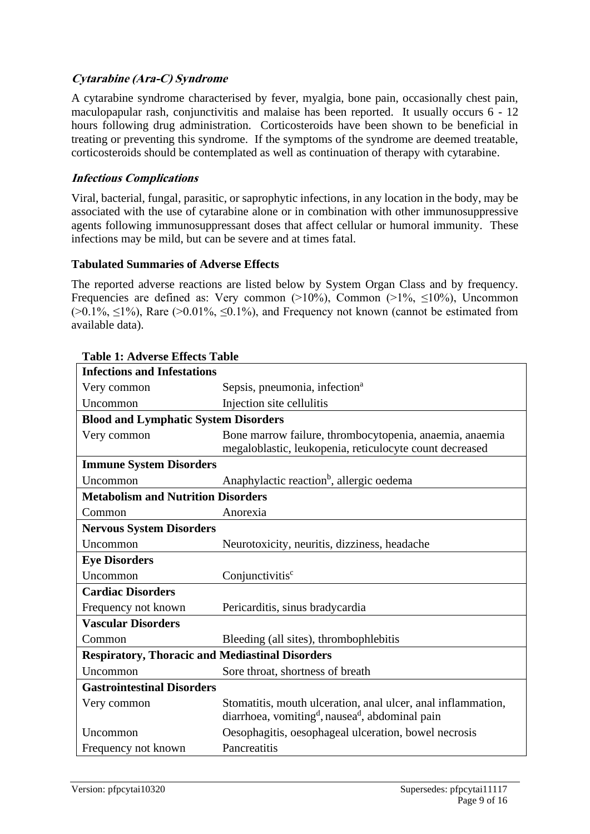#### **Cytarabine (Ara-C) Syndrome**

A cytarabine syndrome characterised by fever, myalgia, bone pain, occasionally chest pain, maculopapular rash, conjunctivitis and malaise has been reported. It usually occurs 6 - 12 hours following drug administration. Corticosteroids have been shown to be beneficial in treating or preventing this syndrome. If the symptoms of the syndrome are deemed treatable, corticosteroids should be contemplated as well as continuation of therapy with cytarabine.

#### **Infectious Complications**

Viral, bacterial, fungal, parasitic, or saprophytic infections, in any location in the body, may be associated with the use of cytarabine alone or in combination with other immunosuppressive agents following immunosuppressant doses that affect cellular or humoral immunity. These infections may be mild, but can be severe and at times fatal.

#### **Tabulated Summaries of Adverse Effects**

The reported adverse reactions are listed below by System Organ Class and by frequency. Frequencies are defined as: Very common  $(>10\%)$ , Common  $(>1\%$ ,  $\leq 10\%)$ , Uncommon  $(0.1\%, \leq 1\%)$ , Rare  $(0.01\%, \leq 0.1\%)$ , and Frequency not known (cannot be estimated from available data).

| <b>Infections and Infestations</b>                     |                                                                                                                                         |  |
|--------------------------------------------------------|-----------------------------------------------------------------------------------------------------------------------------------------|--|
| Very common                                            | Sepsis, pneumonia, infection <sup>a</sup>                                                                                               |  |
| Uncommon                                               | Injection site cellulitis                                                                                                               |  |
| <b>Blood and Lymphatic System Disorders</b>            |                                                                                                                                         |  |
| Very common                                            | Bone marrow failure, thrombocytopenia, anaemia, anaemia<br>megaloblastic, leukopenia, reticulocyte count decreased                      |  |
| <b>Immune System Disorders</b>                         |                                                                                                                                         |  |
| Uncommon                                               | Anaphylactic reaction <sup>b</sup> , allergic oedema                                                                                    |  |
| <b>Metabolism and Nutrition Disorders</b>              |                                                                                                                                         |  |
| Common                                                 | Anorexia                                                                                                                                |  |
| <b>Nervous System Disorders</b>                        |                                                                                                                                         |  |
| Uncommon                                               | Neurotoxicity, neuritis, dizziness, headache                                                                                            |  |
| <b>Eye Disorders</b>                                   |                                                                                                                                         |  |
| Uncommon                                               | Conjunctivitis <sup>c</sup>                                                                                                             |  |
| <b>Cardiac Disorders</b>                               |                                                                                                                                         |  |
| Frequency not known                                    | Pericarditis, sinus bradycardia                                                                                                         |  |
| <b>Vascular Disorders</b>                              |                                                                                                                                         |  |
| Common                                                 | Bleeding (all sites), thrombophlebitis                                                                                                  |  |
| <b>Respiratory, Thoracic and Mediastinal Disorders</b> |                                                                                                                                         |  |
| Uncommon                                               | Sore throat, shortness of breath                                                                                                        |  |
| <b>Gastrointestinal Disorders</b>                      |                                                                                                                                         |  |
| Very common                                            | Stomatitis, mouth ulceration, anal ulcer, anal inflammation,<br>diarrhoea, vomiting <sup>d</sup> , nausea <sup>d</sup> , abdominal pain |  |
| Uncommon                                               | Oesophagitis, oesophageal ulceration, bowel necrosis                                                                                    |  |
| Frequency not known                                    | Pancreatitis                                                                                                                            |  |

#### **Table 1: Adverse Effects Table**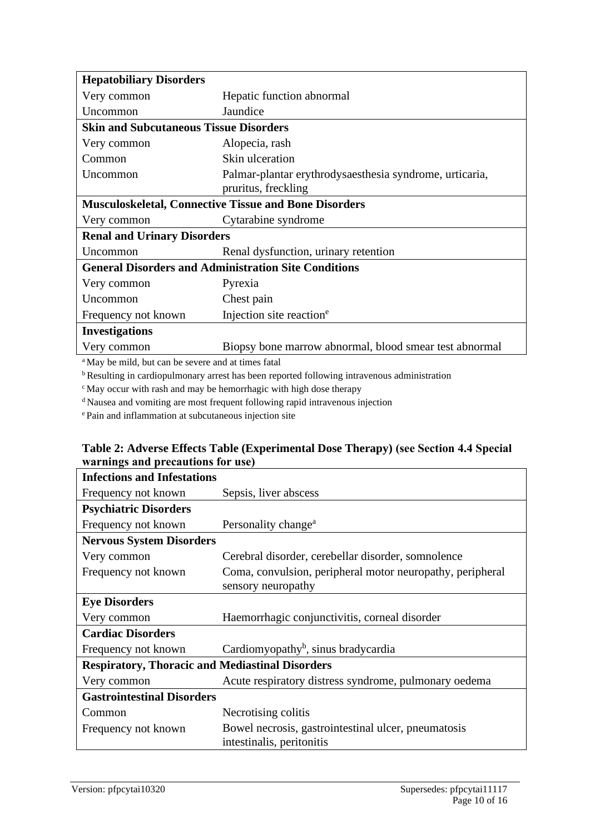| <b>Hepatobiliary Disorders</b>                               |                                                         |  |
|--------------------------------------------------------------|---------------------------------------------------------|--|
| Very common                                                  | Hepatic function abnormal                               |  |
| Uncommon                                                     | Jaundice                                                |  |
| <b>Skin and Subcutaneous Tissue Disorders</b>                |                                                         |  |
| Very common                                                  | Alopecia, rash                                          |  |
| Common                                                       | Skin ulceration                                         |  |
| Uncommon                                                     | Palmar-plantar erythrodysaesthesia syndrome, urticaria, |  |
|                                                              | pruritus, freckling                                     |  |
| <b>Musculoskeletal, Connective Tissue and Bone Disorders</b> |                                                         |  |
| Very common                                                  | Cytarabine syndrome                                     |  |
| <b>Renal and Urinary Disorders</b>                           |                                                         |  |
| Uncommon                                                     | Renal dysfunction, urinary retention                    |  |
| <b>General Disorders and Administration Site Conditions</b>  |                                                         |  |
| Very common                                                  | Pyrexia                                                 |  |
| Uncommon                                                     | Chest pain                                              |  |
| Frequency not known                                          | Injection site reaction <sup>e</sup>                    |  |
| <b>Investigations</b>                                        |                                                         |  |
| Very common                                                  | Biopsy bone marrow abnormal, blood smear test abnormal  |  |
|                                                              |                                                         |  |

<sup>a</sup>May be mild, but can be severe and at times fatal

<sup>b</sup> Resulting in cardiopulmonary arrest has been reported following intravenous administration

 $\epsilon$ May occur with rash and may be hemorrhagic with high dose therapy

<sup>d</sup> Nausea and vomiting are most frequent following rapid intravenous injection

<sup>e</sup>Pain and inflammation at subcutaneous injection site

| <b>Infections and Infestations</b>                     |                                                           |  |
|--------------------------------------------------------|-----------------------------------------------------------|--|
| Frequency not known                                    | Sepsis, liver abscess                                     |  |
| <b>Psychiatric Disorders</b>                           |                                                           |  |
| Frequency not known                                    | Personality change <sup>a</sup>                           |  |
| <b>Nervous System Disorders</b>                        |                                                           |  |
| Very common                                            | Cerebral disorder, cerebellar disorder, somnolence        |  |
| Frequency not known                                    | Coma, convulsion, peripheral motor neuropathy, peripheral |  |
|                                                        | sensory neuropathy                                        |  |
| <b>Eye Disorders</b>                                   |                                                           |  |
| Very common                                            | Haemorrhagic conjunctivitis, corneal disorder             |  |
| <b>Cardiac Disorders</b>                               |                                                           |  |
| Frequency not known                                    | Cardiomyopathy <sup>b</sup> , sinus bradycardia           |  |
| <b>Respiratory, Thoracic and Mediastinal Disorders</b> |                                                           |  |
| Very common                                            | Acute respiratory distress syndrome, pulmonary oedema     |  |
| <b>Gastrointestinal Disorders</b>                      |                                                           |  |
| Common                                                 | Necrotising colitis                                       |  |
| Frequency not known                                    | Bowel necrosis, gastrointestinal ulcer, pneumatosis       |  |
|                                                        | intestinalis, peritonitis                                 |  |

#### **Table 2: Adverse Effects Table (Experimental Dose Therapy) (see Section 4.4 Special warnings and precautions for use)**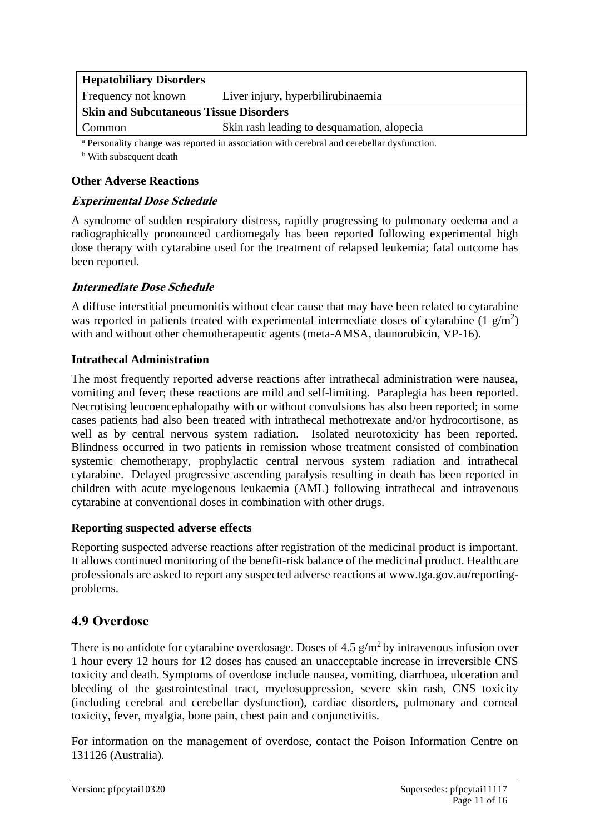| <b>Hepatobiliary Disorders</b>                                                                        |                                             |  |
|-------------------------------------------------------------------------------------------------------|---------------------------------------------|--|
| Frequency not known                                                                                   | Liver injury, hyperbilirubinaemia           |  |
| <b>Skin and Subcutaneous Tissue Disorders</b>                                                         |                                             |  |
| Common                                                                                                | Skin rash leading to desquamation, alopecia |  |
| <sup>a</sup> Personality change was reported in association with cerebral and cerebellar dysfunction. |                                             |  |

**b** With subsequent death

#### **Other Adverse Reactions**

#### **Experimental Dose Schedule**

A syndrome of sudden respiratory distress, rapidly progressing to pulmonary oedema and a radiographically pronounced cardiomegaly has been reported following experimental high dose therapy with cytarabine used for the treatment of relapsed leukemia; fatal outcome has been reported.

#### **Intermediate Dose Schedule**

A diffuse interstitial pneumonitis without clear cause that may have been related to cytarabine was reported in patients treated with experimental intermediate doses of cytarabine (1  $g/m<sup>2</sup>$ ) with and without other chemotherapeutic agents (meta-AMSA, daunorubicin, VP-16).

#### **Intrathecal Administration**

The most frequently reported adverse reactions after intrathecal administration were nausea, vomiting and fever; these reactions are mild and self-limiting. Paraplegia has been reported. Necrotising leucoencephalopathy with or without convulsions has also been reported; in some cases patients had also been treated with intrathecal methotrexate and/or hydrocortisone, as well as by central nervous system radiation. Isolated neurotoxicity has been reported. Blindness occurred in two patients in remission whose treatment consisted of combination systemic chemotherapy, prophylactic central nervous system radiation and intrathecal cytarabine. Delayed progressive ascending paralysis resulting in death has been reported in children with acute myelogenous leukaemia (AML) following intrathecal and intravenous cytarabine at conventional doses in combination with other drugs.

#### **Reporting suspected adverse effects**

Reporting suspected adverse reactions after registration of the medicinal product is important. It allows continued monitoring of the benefit-risk balance of the medicinal product. Healthcare professionals are asked to report any suspected adverse reactions at www.tga.gov.au/reportingproblems.

### **4.9 Overdose**

There is no antidote for cytarabine overdosage. Doses of 4.5  $g/m^2$  by intravenous infusion over 1 hour every 12 hours for 12 doses has caused an unacceptable increase in irreversible CNS toxicity and death. Symptoms of overdose include nausea, vomiting, diarrhoea, ulceration and bleeding of the gastrointestinal tract, myelosuppression, severe skin rash, CNS toxicity (including cerebral and cerebellar dysfunction), cardiac disorders, pulmonary and corneal toxicity, fever, myalgia, bone pain, chest pain and conjunctivitis.

For information on the management of overdose, contact the Poison Information Centre on 131126 (Australia).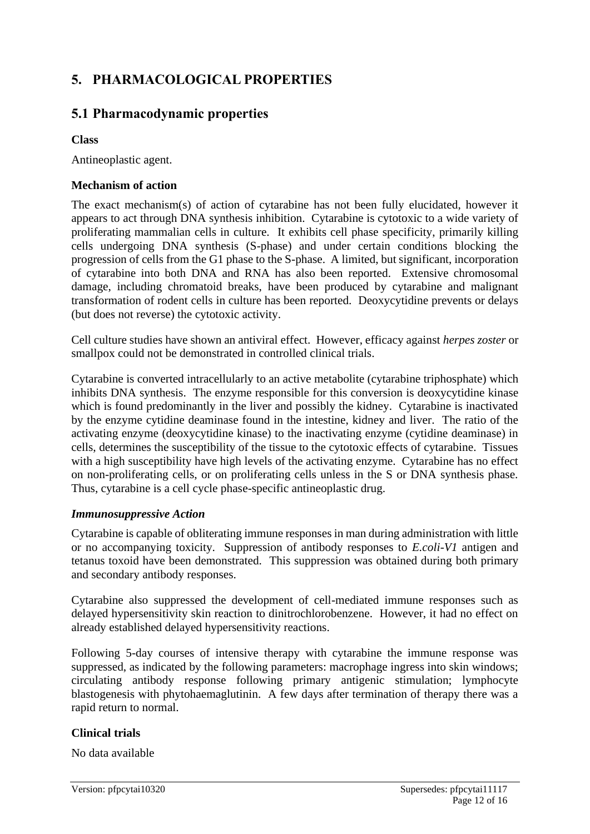# **5. PHARMACOLOGICAL PROPERTIES**

# **5.1 Pharmacodynamic properties**

#### **Class**

Antineoplastic agent.

#### **Mechanism of action**

The exact mechanism(s) of action of cytarabine has not been fully elucidated, however it appears to act through DNA synthesis inhibition. Cytarabine is cytotoxic to a wide variety of proliferating mammalian cells in culture. It exhibits cell phase specificity, primarily killing cells undergoing DNA synthesis (S-phase) and under certain conditions blocking the progression of cells from the G1 phase to the S-phase. A limited, but significant, incorporation of cytarabine into both DNA and RNA has also been reported. Extensive chromosomal damage, including chromatoid breaks, have been produced by cytarabine and malignant transformation of rodent cells in culture has been reported. Deoxycytidine prevents or delays (but does not reverse) the cytotoxic activity.

Cell culture studies have shown an antiviral effect. However, efficacy against *herpes zoster* or smallpox could not be demonstrated in controlled clinical trials.

Cytarabine is converted intracellularly to an active metabolite (cytarabine triphosphate) which inhibits DNA synthesis. The enzyme responsible for this conversion is deoxycytidine kinase which is found predominantly in the liver and possibly the kidney. Cytarabine is inactivated by the enzyme cytidine deaminase found in the intestine, kidney and liver. The ratio of the activating enzyme (deoxycytidine kinase) to the inactivating enzyme (cytidine deaminase) in cells, determines the susceptibility of the tissue to the cytotoxic effects of cytarabine. Tissues with a high susceptibility have high levels of the activating enzyme. Cytarabine has no effect on non-proliferating cells, or on proliferating cells unless in the S or DNA synthesis phase. Thus, cytarabine is a cell cycle phase-specific antineoplastic drug.

#### *Immunosuppressive Action*

Cytarabine is capable of obliterating immune responses in man during administration with little or no accompanying toxicity. Suppression of antibody responses to *E.coli-V1* antigen and tetanus toxoid have been demonstrated. This suppression was obtained during both primary and secondary antibody responses.

Cytarabine also suppressed the development of cell-mediated immune responses such as delayed hypersensitivity skin reaction to dinitrochlorobenzene. However, it had no effect on already established delayed hypersensitivity reactions.

Following 5-day courses of intensive therapy with cytarabine the immune response was suppressed, as indicated by the following parameters: macrophage ingress into skin windows; circulating antibody response following primary antigenic stimulation; lymphocyte blastogenesis with phytohaemaglutinin. A few days after termination of therapy there was a rapid return to normal.

#### **Clinical trials**

No data available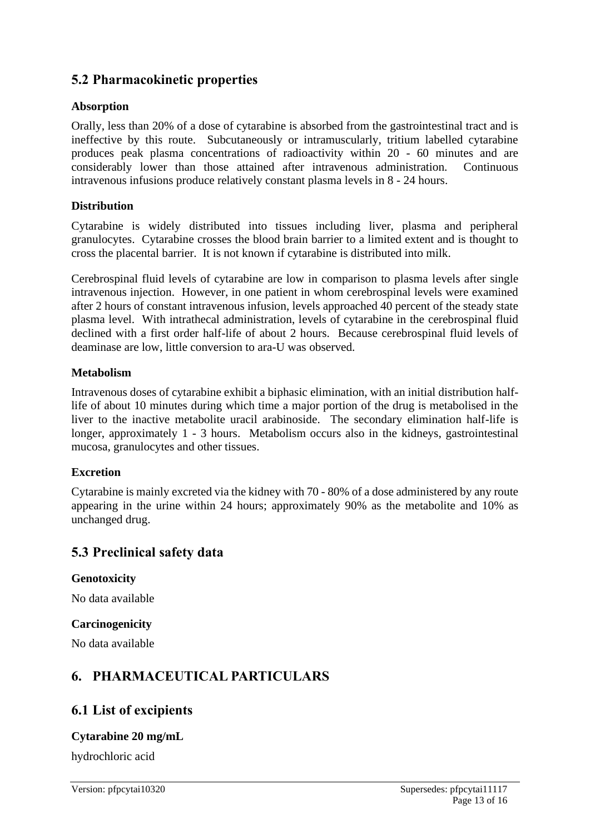# **5.2 Pharmacokinetic properties**

#### **Absorption**

Orally, less than 20% of a dose of cytarabine is absorbed from the gastrointestinal tract and is ineffective by this route. Subcutaneously or intramuscularly, tritium labelled cytarabine produces peak plasma concentrations of radioactivity within 20 - 60 minutes and are considerably lower than those attained after intravenous administration. Continuous intravenous infusions produce relatively constant plasma levels in 8 - 24 hours.

#### **Distribution**

Cytarabine is widely distributed into tissues including liver, plasma and peripheral granulocytes. Cytarabine crosses the blood brain barrier to a limited extent and is thought to cross the placental barrier. It is not known if cytarabine is distributed into milk.

Cerebrospinal fluid levels of cytarabine are low in comparison to plasma levels after single intravenous injection. However, in one patient in whom cerebrospinal levels were examined after 2 hours of constant intravenous infusion, levels approached 40 percent of the steady state plasma level. With intrathecal administration, levels of cytarabine in the cerebrospinal fluid declined with a first order half-life of about 2 hours. Because cerebrospinal fluid levels of deaminase are low, little conversion to ara-U was observed.

#### **Metabolism**

Intravenous doses of cytarabine exhibit a biphasic elimination, with an initial distribution halflife of about 10 minutes during which time a major portion of the drug is metabolised in the liver to the inactive metabolite uracil arabinoside. The secondary elimination half-life is longer, approximately 1 - 3 hours. Metabolism occurs also in the kidneys, gastrointestinal mucosa, granulocytes and other tissues.

#### **Excretion**

Cytarabine is mainly excreted via the kidney with 70 - 80% of a dose administered by any route appearing in the urine within 24 hours; approximately 90% as the metabolite and 10% as unchanged drug.

#### **5.3 Preclinical safety data**

**Genotoxicity**

No data available

#### **Carcinogenicity**

No data available

### **6. PHARMACEUTICAL PARTICULARS**

#### **6.1 List of excipients**

#### **Cytarabine 20 mg/mL**

hydrochloric acid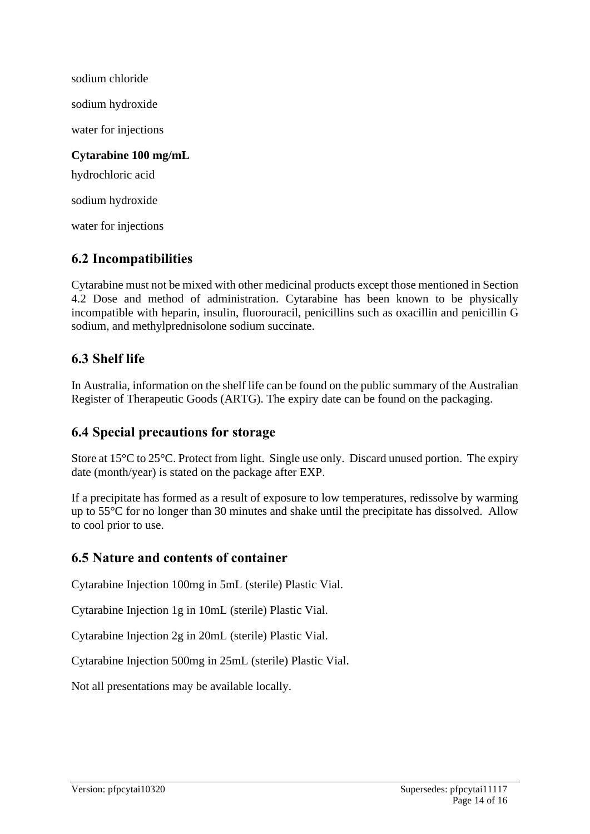sodium chloride sodium hydroxide water for injections **Cytarabine 100 mg/mL** hydrochloric acid sodium hydroxide water for injections

### **6.2 Incompatibilities**

Cytarabine must not be mixed with other medicinal products except those mentioned in Section 4.2 Dose and method of administration. Cytarabine has been known to be physically incompatible with heparin, insulin, fluorouracil, penicillins such as oxacillin and penicillin G sodium, and methylprednisolone sodium succinate.

### **6.3 Shelf life**

In Australia, information on the shelf life can be found on the public summary of the Australian Register of Therapeutic Goods (ARTG). The expiry date can be found on the packaging.

### **6.4 Special precautions for storage**

Store at 15°C to 25°C. Protect from light. Single use only. Discard unused portion. The expiry date (month/year) is stated on the package after EXP.

If a precipitate has formed as a result of exposure to low temperatures, redissolve by warming up to 55°C for no longer than 30 minutes and shake until the precipitate has dissolved. Allow to cool prior to use.

### **6.5 Nature and contents of container**

Cytarabine Injection 100mg in 5mL (sterile) Plastic Vial.

Cytarabine Injection 1g in 10mL (sterile) Plastic Vial.

Cytarabine Injection 2g in 20mL (sterile) Plastic Vial.

Cytarabine Injection 500mg in 25mL (sterile) Plastic Vial.

Not all presentations may be available locally.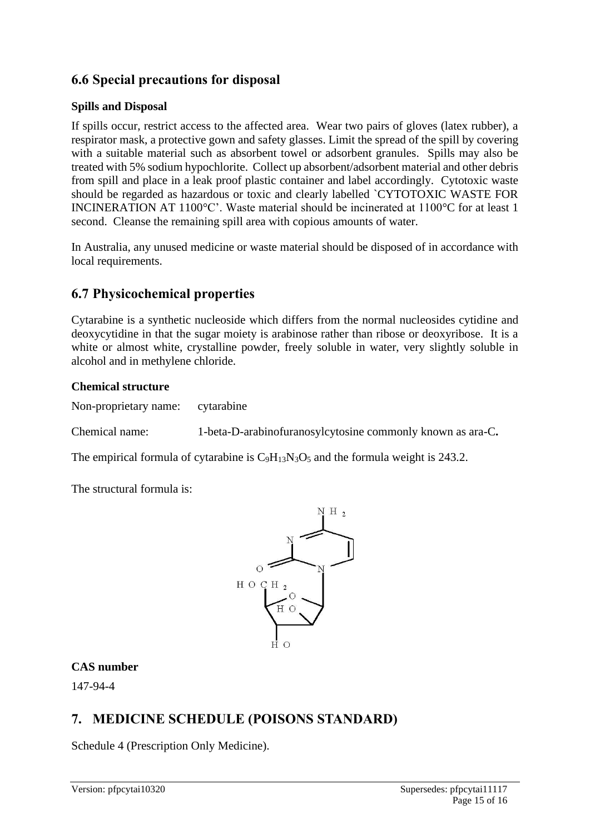# **6.6 Special precautions for disposal**

#### **Spills and Disposal**

If spills occur, restrict access to the affected area. Wear two pairs of gloves (latex rubber), a respirator mask, a protective gown and safety glasses. Limit the spread of the spill by covering with a suitable material such as absorbent towel or adsorbent granules. Spills may also be treated with 5% sodium hypochlorite. Collect up absorbent/adsorbent material and other debris from spill and place in a leak proof plastic container and label accordingly. Cytotoxic waste should be regarded as hazardous or toxic and clearly labelled `CYTOTOXIC WASTE FOR INCINERATION AT 1100°C'. Waste material should be incinerated at 1100°C for at least 1 second. Cleanse the remaining spill area with copious amounts of water.

In Australia, any unused medicine or waste material should be disposed of in accordance with local requirements.

# **6.7 Physicochemical properties**

Cytarabine is a synthetic nucleoside which differs from the normal nucleosides cytidine and deoxycytidine in that the sugar moiety is arabinose rather than ribose or deoxyribose. It is a white or almost white, crystalline powder, freely soluble in water, very slightly soluble in alcohol and in methylene chloride.

#### **Chemical structure**

Non-proprietary name: cytarabine

Chemical name: 1-beta-D-arabinofuranosylcytosine commonly known as ara-C**.**

The empirical formula of cytarabine is  $C_9H_{13}N_3O_5$  and the formula weight is 243.2.

The structural formula is:



#### **CAS number**

147-94-4

# **7. MEDICINE SCHEDULE (POISONS STANDARD)**

Schedule 4 (Prescription Only Medicine).